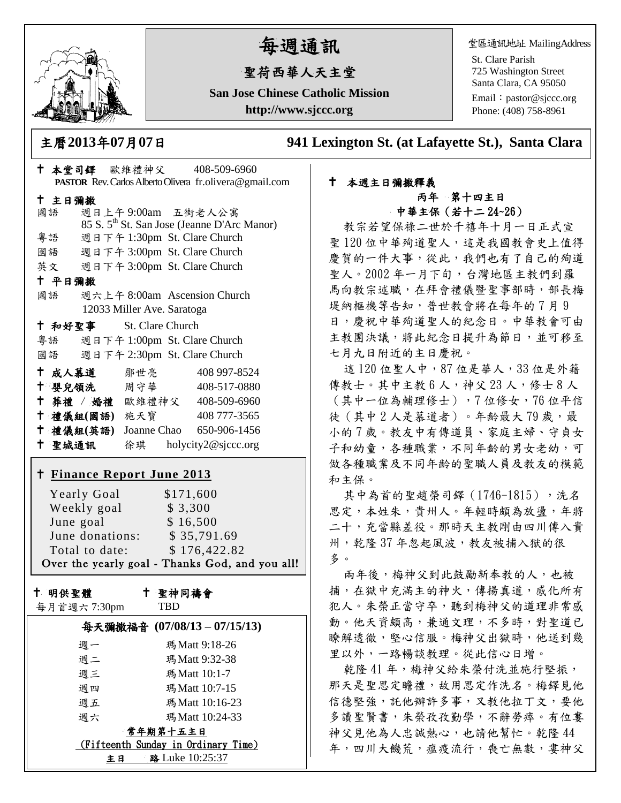

# 每週通訊

## 聖荷西華人天主堂

**San Jose Chinese Catholic Mission http://www.sjccc.org**

堂區通訊地址 MailingAddress

St. Clare Parish 725 Washington Street Santa Clara, CA 95050

Email: [pastor@sjccc.org](mailto:pastor@sjccc.org) Phone: (408) 758-8961

主曆**2013**年**07**月**07**日 **941 Lexington St. (at Lafayette St.), Santa Clara** 

### 本堂司鐸 歐維禮神父 408-509-6960 **PASTOR** Rev. Carlos Alberto Olivera fr.olivera@gmail.com 主日彌撒 國語 週日上午 9:00am 五街老人公寓 85 S. 5th St. San Jose (Jeanne D'Arc Manor) 粵語 週日下午 1:30pm St. Clare Church 國語 週日下午 3:00pm St. Clare Church 英文 週日下午 3:00pm St. Clare Church 平日彌撒 國語 週六上午 8:00am Ascension Church 12033 Miller Ave. Saratoga 和好聖事 St. Clare Church 粵語 週日下午 1:00pm St. Clare Church 國語 週日下午 2:30pm St. Clare Church 十成人慕道 鄒世亮 408 997-8524 十 嬰兒領洗 周守華 408-517-0880 葬禮 / 婚禮 歐維禮神父 408-509-6960 禮儀組**(**國語**)** 施天寶 408 777-3565 禮儀組**(**英語**)** Joanne Chao 650-906-1456 聖城通訊 徐琪 holycity2@sjccc.org **Finance [Report June 2013](http://sjccc.org/index.php/finance.html?src=bulletin112512)** Yearly Goal  $$171,600$ Weekly goal \$3,300 June goal \$ 16,500 June donations: \$ 35,791.69 Total to date: \$176,422.82 Over the yearly goal - Thanks God, and you all! 十 明供聖體 每月首週六 7:30pm 聖神同禱會 TBD

|                                     | 每天彌撒福音 (07/08/13-07/15/13) |
|-------------------------------------|----------------------------|
| 调一                                  | 瑪Matt 9:18-26              |
| 週二                                  | 瑪 Matt 9:32-38             |
| 週三                                  | 瑪Matt 10:1-7               |
| 週四                                  | 瑪 Matt 10:7-15             |
| 週五                                  | 瑪Matt 10:16-23             |
| 调六                                  | 瑪Matt 10:24-33             |
| 常年期第十五主日                            |                            |
| (Fifteenth Sunday in Ordinary Time) |                            |
| 路 Luke 10:25:37<br>ŧЕ               |                            |

#### 本週主日彌撒釋義 丙年 第十四主日 中華主保(若十二 24~26)

教宗若望保祿二世於千禧年十月一日正式宣 聖 120 位中華殉道聖人,這是我國教會史上值得 慶賀的一件大事,從此,我們也有了自己的殉道 聖人。2002年一月下旬,台灣地區主教們到羅 馬向教宗述職,在拜會禮儀暨聖事部時,部長梅 堤納樞機等告知,普世教會將在每年的 7 月 9 日,慶祝中華殉道聖人的紀念日。中華教會可由 主教團決議,將此紀念日提升為節日,並可移至 七月九日附近的主日慶祝。

這 120 位聖人中, 87 位是華人, 33 位是外籍 傳教士。其中主教 6 人,神父 23 人, 修士 8 人 (其中一位為輔理修士),7 位修女,76 位平信 徒 (其中2人是慕道者)。年齡最大79歲,最 小的 7 歲。教友中有傳道員、家庭主婦、守貞女 子和幼童,各種職業,不同年齡的男女老幼,可 做各種職業及不同年齡的聖職人員及教友的模範 和主保。

其中為首的聖趙榮司鐸 (1746-1815), 洗名 思定,本姓朱,貴州人。年輕時頗為放盪,年將 二十,充當縣差役。那時天主教剛由四川傳入貴 州,乾隆37年忽起風波,教友被捕入獄的很 多。

兩年後,梅神父到此鼓勵新奉教的人,也被 捕,在獄中充滿主的神火,傳揚真道,感化所有 犯人。朱榮正當守卒,聽到梅神父的道理非常感 動。他天資頗高,兼通文理,不多時,對聖道已 瞭解透徹,堅心信服。梅神父出獄時,他送到幾 里以外,一路暢談教理。從此信心日增。

乾隆41年,梅神父給朱榮付洗並施行堅振, 那天是聖思定瞻禮,故用思定作洗名。梅鐸見他 信德堅強,託他辦許多事,又教他拉丁文,要他 多讀聖賢書,朱榮孜孜勤學,不辭勞瘁。有位婁 神父見他為人忠誠熱心,也請他幫忙。乾隆 44 年,四川大饑荒,瘟疫流行,喪亡無數, 婁神父